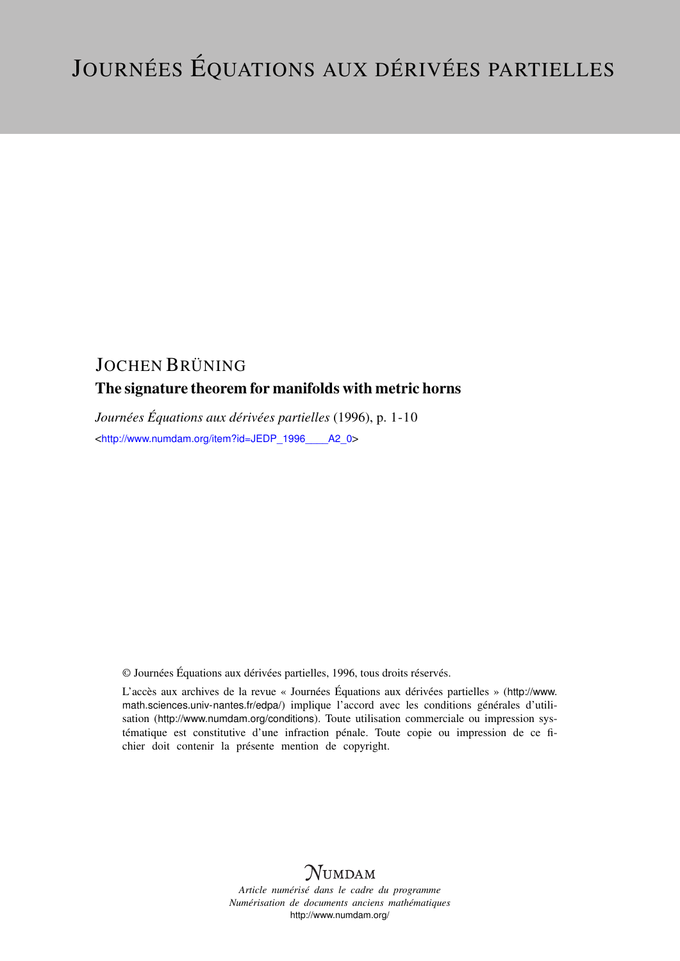# JOCHEN BRÜNING

# The signature theorem for manifolds with metric horns

*Journées Équations aux dérivées partielles* (1996), p. 1-10 <[http://www.numdam.org/item?id=JEDP\\_1996\\_\\_\\_\\_A2\\_0](http://www.numdam.org/item?id=JEDP_1996____A2_0)>

© Journées Équations aux dérivées partielles, 1996, tous droits réservés.

L'accès aux archives de la revue « Journées Équations aux dérivées partielles » ([http://www.](http://www.math.sciences.univ-nantes.fr/edpa/) [math.sciences.univ-nantes.fr/edpa/](http://www.math.sciences.univ-nantes.fr/edpa/)) implique l'accord avec les conditions générales d'utilisation (<http://www.numdam.org/conditions>). Toute utilisation commerciale ou impression systématique est constitutive d'une infraction pénale. Toute copie ou impression de ce fichier doit contenir la présente mention de copyright.



*Article numérisé dans le cadre du programme Numérisation de documents anciens mathématiques* <http://www.numdam.org/>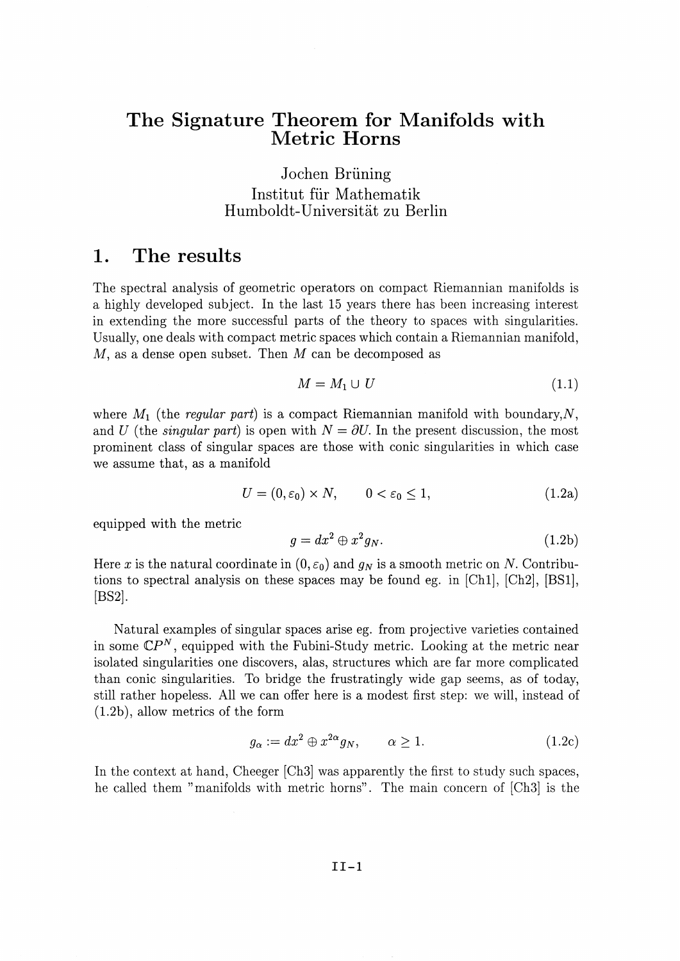# **The Signature Theorem for Manifolds with Metric Horns**

Jochen Briining Institut für Mathematik Humboldt-Universitat zu Berlin

#### **1. The results**

The spectral analysis of geometric operators on compact Riemannian manifolds is a highly developed subject. In the last 15 years there has been increasing interest in extending the more successful parts of the theory to spaces with singularities. Usually, one deals with compact metric spaces which contain a Riemannian manifold, M, as a dense open subset. Then *M* can be decomposed as

$$
M = M_1 \cup U \tag{1.1}
$$

where  $M_1$  (the *regular part*) is a compact Riemannian manifold with boundary,  $N$ , and *U* (the *singular part*) is open with  $N = \partial U$ . In the present discussion, the most prominent class of singular spaces are those with conic singularities in which case we assume that, as a manifold

$$
U = (0, \varepsilon_0) \times N, \qquad 0 < \varepsilon_0 \le 1,\tag{1.2a}
$$

equipped with the metric

$$
g = dx^2 \oplus x^2 g_N. \tag{1.2b}
$$

Here x is the natural coordinate in  $(0, \varepsilon_0)$  and  $g_N$  is a smooth metric on N. Contributions to spectral analysis on these spaces may be found eg. in [Chl], [Ch2], [BS1], [BS2].

Natural examples of singular spaces arise eg. from projective varieties contained in some  $\mathbb{C}P^N$ , equipped with the Fubini-Study metric. Looking at the metric near isolated singularities one discovers, alas, structures which are far more complicated than conic singularities. To bridge the frustratingly wide gap seems, as of today, still rather hopeless. All we can offer here is a modest first step: we will, instead of (1.2b), allow metrics of the form

$$
g_{\alpha} := dx^2 \oplus x^{2\alpha} g_N, \qquad \alpha \ge 1. \tag{1.2c}
$$

In the context at hand, Cheeger [Ch3] was apparently the first to study such spaces, he called them "manifolds with metric horns". The main concern of [Ch3] is the

II-l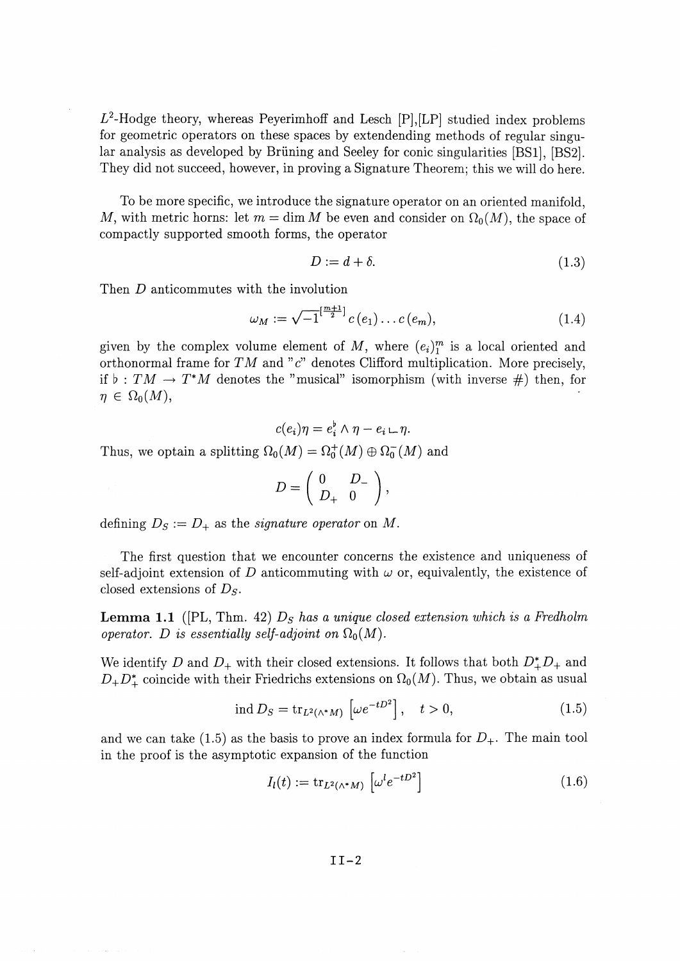$L^2$ -Hodge theory, whereas Peyerimhoff and Lesch [P],[LP] studied index problems for geometric operators on these spaces by extendending methods of regular singular analysis as developed by Briining and Seeley for conic singularities [BS1], [BS2]. They did not succeed, however, in proving a Signature Theorem; this we will do here.

To be more specific, we introduce the signature operator on an oriented manifold, M, with metric horns: let  $m = \dim M$  be even and consider on  $\Omega_0(M)$ , the space of compactly supported smooth forms, the operator

$$
D := d + \delta. \tag{1.3}
$$

Then *D* anticommutes with the involution

$$
\omega_M := \sqrt{-1}^{[\frac{m+1}{2}]} c(e_1) \dots c(e_m), \tag{1.4}
$$

given by the complex volume element of M, where  $(e_i)_1^m$  is a local oriented and orthonormal frame for  $TM$  and " $c$ " denotes Clifford multiplication. More precisely, if  $\flat : TM \to T^*M$  denotes the "musical" isomorphism (with inverse #) then, for  $\eta \in \Omega_0(M),$ 

$$
c(e_i)\eta = e_i^{\flat} \wedge \eta - e_i \sqcup \eta.
$$

Thus, we optain a splitting  $\Omega_0(M) = \Omega_0^+(M) \oplus \Omega_0^-(M)$  and

$$
D=\left(\begin{array}{cc} 0 & D_- \\ D_+ & 0 \end{array}\right),
$$

defining  $D_S := D_+$  as the *signature operator* on M.

The first question that we encounter concerns the existence and uniqueness of self-adjoint extension of D anticommuting with  $\omega$  or, equivalently, the existence of closed extensions of *Ds'*

**Lemma 1.1** ([PL, Thm. 42) *Ds has a unique closed extension which is a Fredholm operator.* D is essentially self-adjoint on  $\Omega_0(M)$ .

We identify D and  $D_+$  with their closed extensions. It follows that both  $D^*_{+}D_{+}$  and  $D_+D_+^*$  coincide with their Friedrichs extensions on  $\Omega_0(M)$ . Thus, we obtain as usual

$$
\text{ind } D_S = \text{tr}_{L^2(\wedge^* M)} \left[ \omega e^{-tD^2} \right], \quad t > 0,
$$
\n(1.5)

and we can take (1.5) as the basis to prove an index formula for  $D_{+}$ . The main tool in the proof is the asymptotic expansion of the function

$$
I_l(t) := \text{tr}_{L^2(\wedge^* M)} \left[ \omega^l e^{-tD^2} \right] \tag{1.6}
$$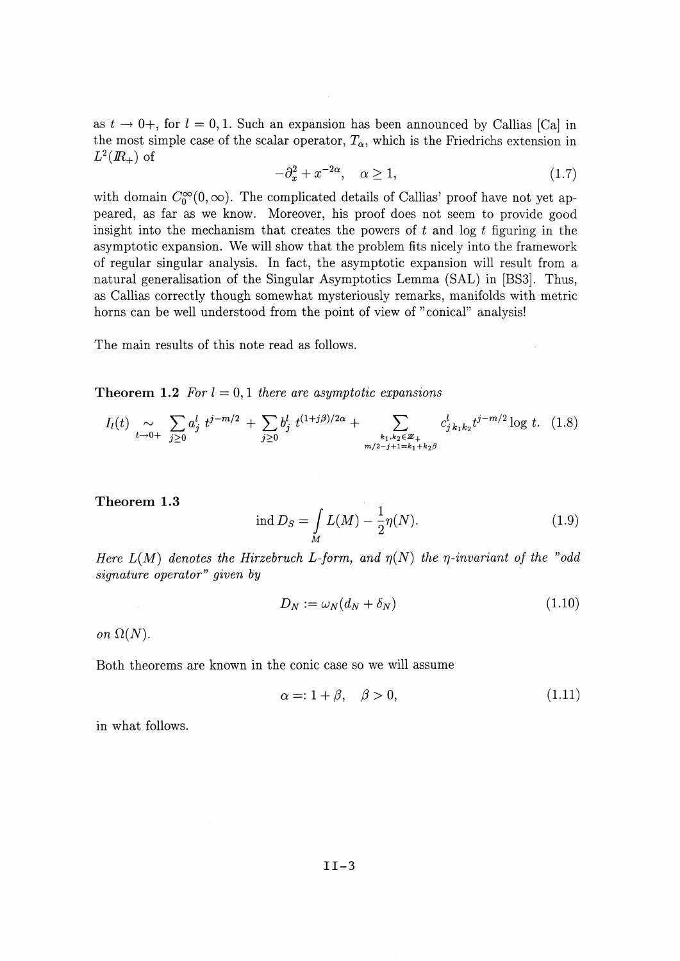as  $t \to 0^+$ , for  $l = 0,1$ . Such an expansion has been announced by Callias [Ca] in the most simple case of the scalar operator,  $T_{\alpha}$ , which is the Friedrichs extension in  $L^2(I\!\! R_+)$  of

$$
-\partial_x^2 + x^{-2\alpha}, \quad \alpha \ge 1,\tag{1.7}
$$

with domain  $C_0^{\infty}(0,\infty)$ . The complicated details of Callias' proof have not yet appeared, as far as we know. Moreover, his proof does not seem to provide good insight into the mechanism that creates the powers of *t* and log *t* figuring in the asymptotic expansion. We will show that the problem fits nicely into the framework of regular singular analysis. In fact, the asymptotic expansion will result from a natural generalisation of the Singular Asymptotics Lemma (SAL) in [BS3]. Thus, as Callias correctly though somewhat mysteriously remarks, manifolds with metric horns can be well understood from the point of view of "conical" analysis!

The main results of this note read as follows.

**Theorem 1.2** For  $l = 0, 1$  there are asymptotic expansions

$$
I_l(t) \underset{t \to 0+}{\sim} \sum_{j \ge 0} a_j^l t^{j-m/2} + \sum_{j \ge 0} b_j^l t^{(1+j\beta)/2\alpha} + \sum_{\substack{k_1, k_2 \in \mathbb{Z}_+ \\ m/2 - j + 1 = k_1 + k_2 \beta}} c_{j \, k_1 k_2}^l t^{j-m/2} \log t. \tag{1.8}
$$

**Theorem 1.3**

$$
\text{ind } D_S = \int\limits_M L(M) - \frac{1}{2} \eta(N). \tag{1.9}
$$

*Here*  $L(M)$  *denotes the Hirzebruch L-form, and*  $\eta(N)$  *the*  $\eta$ *-invariant of the "odd signature operator^ given by*

$$
D_N := \omega_N (d_N + \delta_N) \tag{1.10}
$$

*on*  $\Omega(N)$ .

Both theorems are known in the conic case so we will assume

$$
\alpha = 1 + \beta, \quad \beta > 0,\tag{1.11}
$$

in what follows.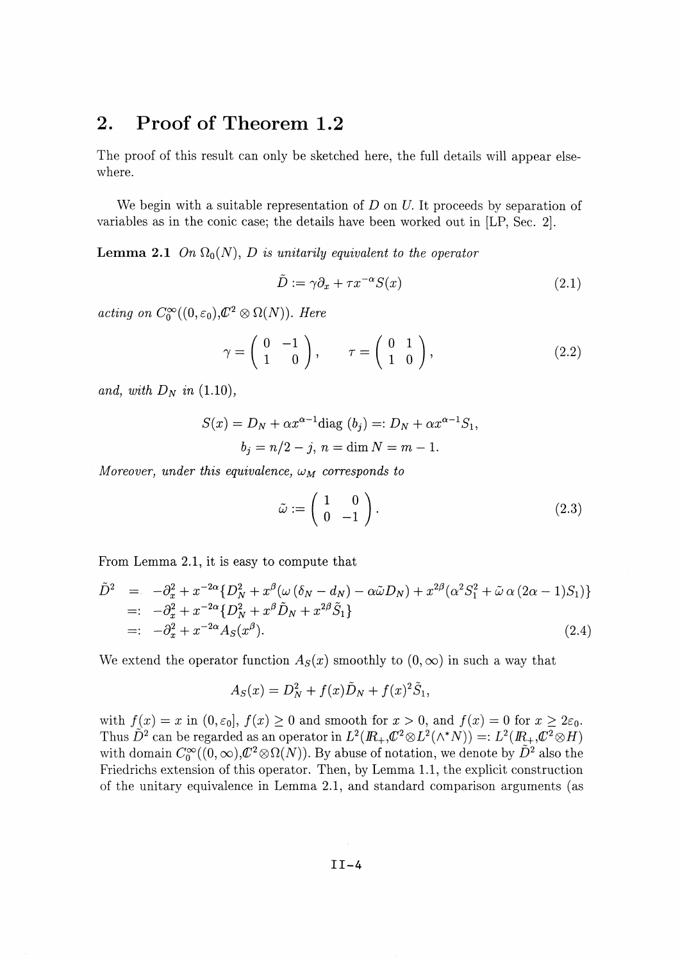# 2. Proof of Theorem *1.2*

The proof of this result can only be sketched here, the full details will appear elsewhere.

We begin with a suitable representation of *D* on *U.* It proceeds by separation of variables as in the conic case; the details have been worked out in [LP, Sec. 2].

**Lemma 2.1** On  $\Omega_0(N)$ , D is unitarily equivalent to the operator

$$
\tilde{D} := \gamma \partial_x + \tau x^{-\alpha} S(x) \tag{2.1}
$$

 $acting on C_0^{\infty}((0, \varepsilon_0), Z^2 \otimes \Omega(N)).$  *Here* 

$$
\gamma = \left(\begin{array}{cc} 0 & -1 \\ 1 & 0 \end{array}\right), \qquad \tau = \left(\begin{array}{cc} 0 & 1 \\ 1 & 0 \end{array}\right), \tag{2.2}
$$

*and, with*  $D_N$  *in* (1.10),

$$
S(x) = DN + \alpha x^{\alpha - 1} \text{diag}(b_j) =: DN + \alpha x^{\alpha - 1} S_1,
$$
  

$$
b_j = n/2 - j, n = \text{dim } N = m - 1.
$$

*Moreover, under this equivalence,*  $\omega_M$  *corresponds to* 

$$
\tilde{\omega} := \left(\begin{array}{cc} 1 & 0 \\ 0 & -1 \end{array}\right). \tag{2.3}
$$

From Lemma 2.1, it is easy to compute that

$$
\tilde{D}^{2} = -\partial_{x}^{2} + x^{-2\alpha} \{ D_{N}^{2} + x^{\beta} (\omega (\delta_{N} - d_{N}) - \alpha \tilde{\omega} D_{N}) + x^{2\beta} (\alpha^{2} S_{1}^{2} + \tilde{\omega} \alpha (2\alpha - 1) S_{1}) \}=: -\partial_{x}^{2} + x^{-2\alpha} \{ D_{N}^{2} + x^{\beta} \tilde{D}_{N} + x^{2\beta} \tilde{S}_{1} \}=: -\partial_{x}^{2} + x^{-2\alpha} A_{S}(x^{\beta}). \tag{2.4}
$$

We extend the operator function  $A_s(x)$  smoothly to  $(0, \infty)$  in such a way that

$$
A_S(x) = D_N^2 + f(x)\tilde{D}_N + f(x)^2\tilde{S}_1,
$$

with  $f(x) = x$  in  $(0, \varepsilon_0]$ ,  $f(x) \ge 0$  and smooth for  $x > 0$ , and  $f(x) = 0$  for  $x \ge 2\varepsilon_0$ . Thus  $\tilde{D}^2$  can be regarded as an operator in  $L^2(R_+, \mathcal{C}^2 \otimes L^2(\wedge^* N)) =: L^2(R_+, \mathcal{C}^2 \otimes H)$ with domain  $C_0^{\infty}((0, \infty), \mathbb{C}^2 \otimes \Omega(N))$ . By abuse of notation, we denote by  $\tilde{D}^2$  also the Friedrichs extension of this operator. Then, by Lemma 1.1, the explicit construction of the unitary equivalence in Lemma 2.1, and standard comparison arguments (as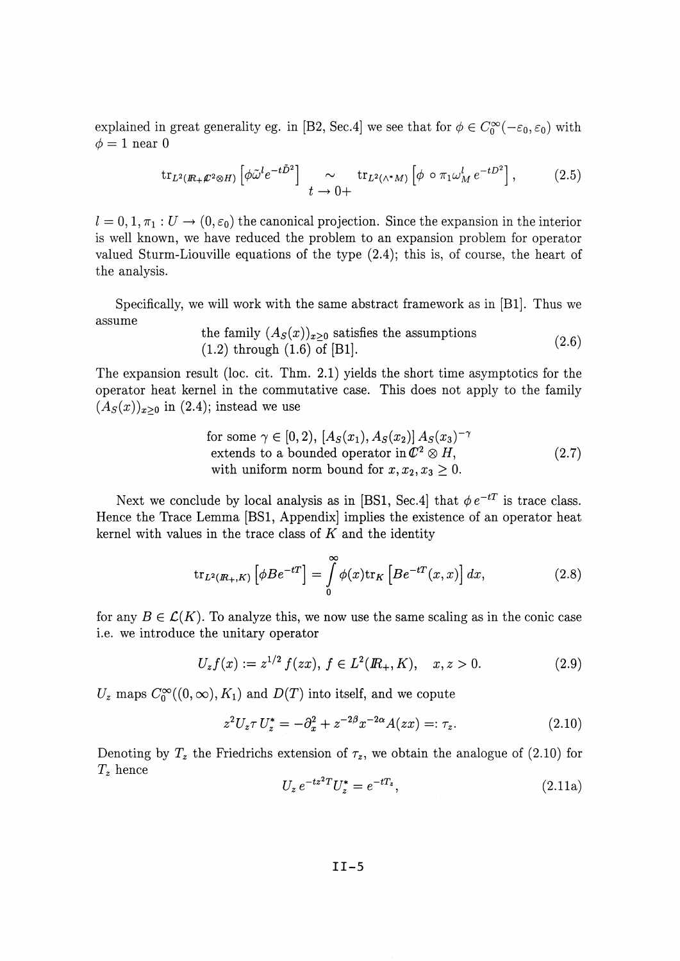explained in great generality eg. in [B2, Sec.4] we see that for  $\phi \in C_0^{\infty}(-\varepsilon_0, \varepsilon_0)$  with  $\phi = 1$  near 0

$$
\text{tr}_{L^2(R_+\mathcal{L}^2\otimes H)}\left[\phi\tilde{\omega}^l e^{-t\tilde{D}^2}\right] \sim \text{tr}_{L^2(\wedge^*M)}\left[\phi\circ\pi_1\omega_M^l e^{-tD^2}\right],\tag{2.5}
$$

 $l = 0, 1, \pi_1 : U \to (0, \varepsilon_0)$  the canonical projection. Since the expansion in the interior is well known, we have reduced the problem to an expansion problem for operator valued Sturm-Liouville equations of the type (2.4); this is, of course, the heart of the analysis.

Specifically, we will work with the same abstract framework as in [Bl]. Thus we assume

the family 
$$
(A_S(x))_{x\geq 0}
$$
 satisfies the assumptions  
(1.2) through (1.6) of [B1]. (2.6)

The expansion result (loc. cit. Thm. 2.1) yields the short time asymptotics for the operator heat kernel in the commutative case. This does not apply to the family  $(A_S(x))_{x>0}$  in (2.4); instead we use

for some 
$$
\gamma \in [0, 2)
$$
,  $[A_S(x_1), A_S(x_2)] A_S(x_3)^{-\gamma}$   
extends to a bounded operator in  $\mathbb{C}^2 \otimes H$ ,  
with uniform norm bound for  $x, x_2, x_3 \ge 0$ . (2.7)

Next we conclude by local analysis as in [BS1, Sec.4] that  $\phi e^{-tT}$  is trace class. Hence the Trace Lemma [BS1, Appendix] implies the existence of an operator heat kernel with values in the trace class of *K* and the identity

$$
\operatorname{tr}_{L^2(R_+,K)}\left[\phi B e^{-tT}\right] = \int\limits_0^\infty \phi(x) \operatorname{tr}_K\left[Be^{-tT}(x,x)\right] dx,\tag{2.8}
$$

for any  $B \in \mathcal{L}(K)$ . To analyze this, we now use the same scaling as in the conic case i.e. we introduce the unitary operator

$$
U_z f(x) := z^{1/2} f(zx), \ f \in L^2(\mathbb{R}_+, K), \quad x, z > 0.
$$
 (2.9)

 $U_z$  maps  $C_0^{\infty}((0,\infty), K_1)$  and  $D(T)$  into itself, and we copute

$$
z^{2}U_{z}\tau U_{z}^{*} = -\partial_{x}^{2} + z^{-2\beta}x^{-2\alpha}A(zx) =: \tau_{z}.
$$
 (2.10)

Denoting by  $T_z$  the Friedrichs extension of  $\tau_z$ , we obtain the analogue of (2.10) for *Tz* hence

$$
U_z e^{-tz^2} U_z^* = e^{-tT_z}, \t\t(2.11a)
$$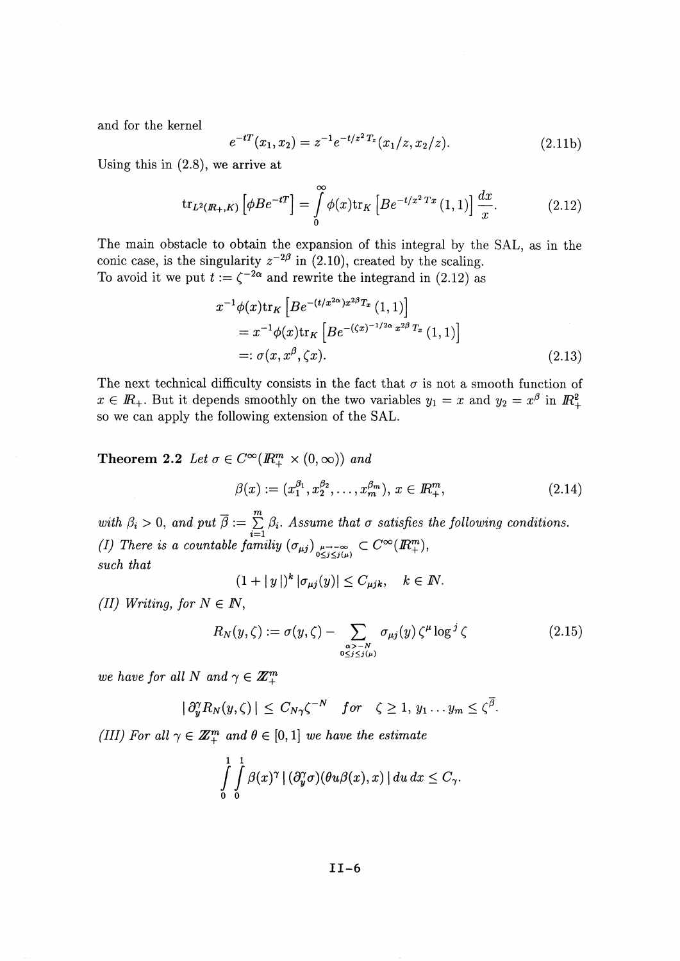and for the kernel

$$
e^{-tT}(x_1, x_2) = z^{-1}e^{-t/z^2T_z}(x_1/z, x_2/z).
$$
 (2.11b)

Using this in (2.8), we arrive at

$$
\operatorname{tr}_{L^2(\mathbb{R}_+,K)}\left[\phi B e^{-tT}\right] = \int\limits_0^\infty \phi(x) \operatorname{tr}_K\left[Be^{-t/x^2\,Tx}\left(1,1\right)\right] \frac{dx}{x}.\tag{2.12}
$$

The main obstacle to obtain the expansion of this integral by the SAL, as in the conic case, is the singularity  $z^{-2\beta}$  in (2.10), created by the scaling. To avoid it we put  $t := \zeta^{-2\alpha}$  and rewrite the integrand in (2.12) as

$$
x^{-1}\phi(x)\text{tr}_K\left[Be^{-(t/x^{2\alpha})x^{2\beta}T_x}(1,1)\right]
$$
  
=  $x^{-1}\phi(x)\text{tr}_K\left[Be^{-(\zeta x)^{-1/2\alpha}x^{2\beta}T_x}(1,1)\right]$   
=:  $\sigma(x, x^{\beta}, \zeta x).$  (2.13)

The next technical difficulty consists in the fact that  $\sigma$  is not a smooth function of  $x \in \mathbb{R}_+$ . But it depends smoothly on the two variables  $y_1 = x$  and  $y_2 = x^{\beta}$  in  $\mathbb{R}^2_+$ so we can apply the following extension of the SAL.

**Theorem 2.2** Let  $\sigma \in C^{\infty}(\mathbb{R}^m_+ \times (0, \infty))$  and

$$
\beta(x) := (x_1^{\beta_1}, x_2^{\beta_2}, \dots, x_m^{\beta_m}), \, x \in \mathbb{R}_+^m,
$$
\n(2.14)

with  $\beta_i > 0$ , and put  $\overline{\beta} := \sum_{i=1}^m \beta_i$ . Assume that  $\sigma$  satisfies the following conditions. (I) There is a countable familiy  $(\sigma_{\mu j})$   $_{\mu \to -\infty}^{\mu \to -\infty} \subset C^{\infty}(I\!\!R_{+}^{m})$ *such that*

$$
(1+|y|)^k |\sigma_{\mu j}(y)| \leq C_{\mu jk}, \quad k \in \mathbb{N}.
$$

*(II) Writing, for*  $N \in I\!N$ *,* 

$$
R_N(y,\zeta) := \sigma(y,\zeta) - \sum_{\substack{\alpha > -N \\ 0 \le j \le j(\mu)}} \sigma_{\mu j}(y) \zeta^{\mu} \log^j \zeta \qquad (2.15)
$$

*we have for all N and*  $\gamma \in \mathbb{Z}_{+}^{m}$ 

$$
|\partial_y^{\gamma} R_N(y,\zeta)| \leq C_{N\gamma} \zeta^{-N} \quad \text{for} \quad \zeta \geq 1, \ y_1 \dots y_m \leq \zeta^{\overline{\beta}}.
$$

*(III)* For all  $\gamma \in \mathbb{Z}_{+}^{m}$  and  $\theta \in [0,1]$  we have the estimate

$$
\int\limits_{0}^{1}\int\limits_{0}^{1}\beta(x)^{\gamma} |(\partial_{y}^{\gamma}\sigma)(\theta u\beta(x),x)| du dx \leq C_{\gamma}.
$$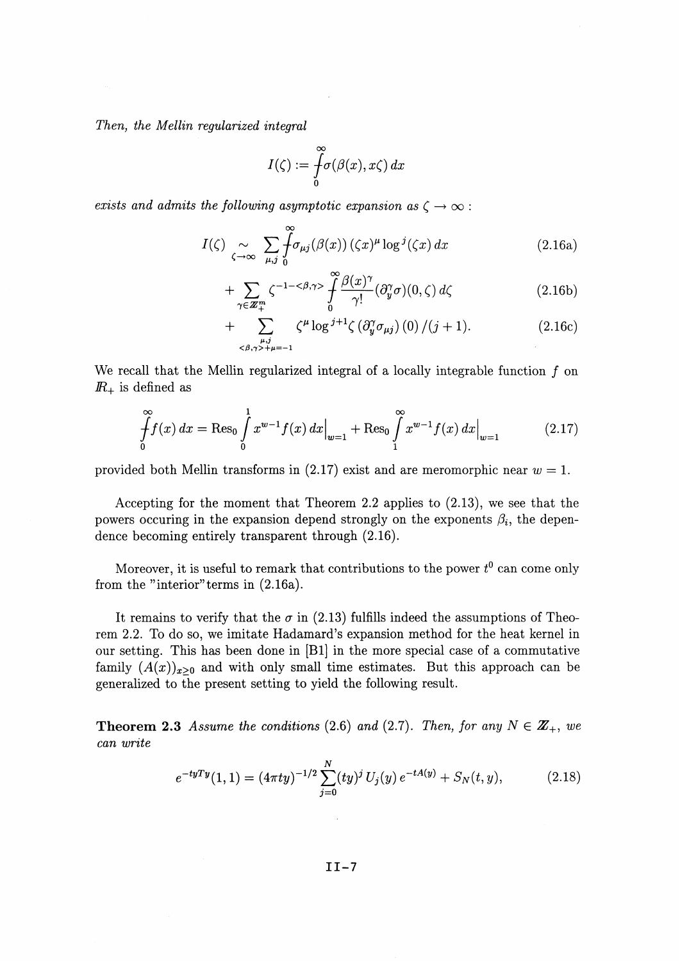*Then, the Mellin regularized integral*

$$
I(\zeta):=\int\limits_0^\infty\!\!\!\sigma(\beta(x),x\zeta)\,dx
$$

*exists and admits the following asymptotic expansion as*  $\zeta \rightarrow \infty$ :

$$
I(\zeta) \underset{\zeta \to \infty}{\sim} \sum_{\mu,j} \int_0^\infty \sigma_{\mu j}(\beta(x)) (\zeta x)^\mu \log^j(\zeta x) dx \qquad (2.16a)
$$

$$
+\sum_{\gamma\in\mathbb{Z}_{+}^{m}}\zeta^{-1-\langle\beta,\gamma\rangle}\int_{0}^{\infty}\frac{\beta(x)^{\gamma}}{\gamma!}(\partial_{y}^{\gamma}\sigma)(0,\zeta)\,d\zeta\tag{2.16b}
$$

$$
+\sum_{\substack{\mu,j\\\langle\beta,\gamma\rangle+\mu=-1}}^{\ell}\zeta^{\mu}\log^{j+1}\zeta\left(\partial_{y}^{\gamma}\sigma_{\mu j}\right)(0)/\left(j+1\right). \tag{2.16c}
$$

We recall that the Mellin regularized integral of a locally integrable function  $f$  on  $I\!\!R_{+}$  is defined as

$$
\int_{0}^{\infty} f(x) dx = \text{Res}_{0} \int_{0}^{1} x^{w-1} f(x) dx \Big|_{w=1} + \text{Res}_{0} \int_{1}^{\infty} x^{w-1} f(x) dx \Big|_{w=1}
$$
 (2.17)

provided both Mellin transforms in (2.17) exist and are meromorphic near *w =* 1.

Accepting for the moment that Theorem 2.2 applies to (2.13), we see that the powers occuring in the expansion depend strongly on the exponents  $\beta_i$ , the dependence becoming entirely transparent through (2.16).

Moreover, it is useful to remark that contributions to the power  $t^0$  can come only from the "interior" terms in (2.16a).

It remains to verify that the  $\sigma$  in (2.13) fulfills indeed the assumptions of Theorem 2.2. To do so, we imitate Hadamard's expansion method for the heat kernel in our setting. This has been done in [Bl] in the more special case of a commutative family  $(A(x))_{x>0}$  and with only small time estimates. But this approach can be generalized to the present setting to yield the following result.

**Theorem 2.3** Assume the conditions (2.6) and (2.7). Then, for any  $N \in \mathbb{Z}_+$ , we *can write*

$$
e^{-tyTy}(1,1) = (4\pi ty)^{-1/2} \sum_{j=0}^{N} (ty)^j U_j(y) e^{-tA(y)} + S_N(t,y), \qquad (2.18)
$$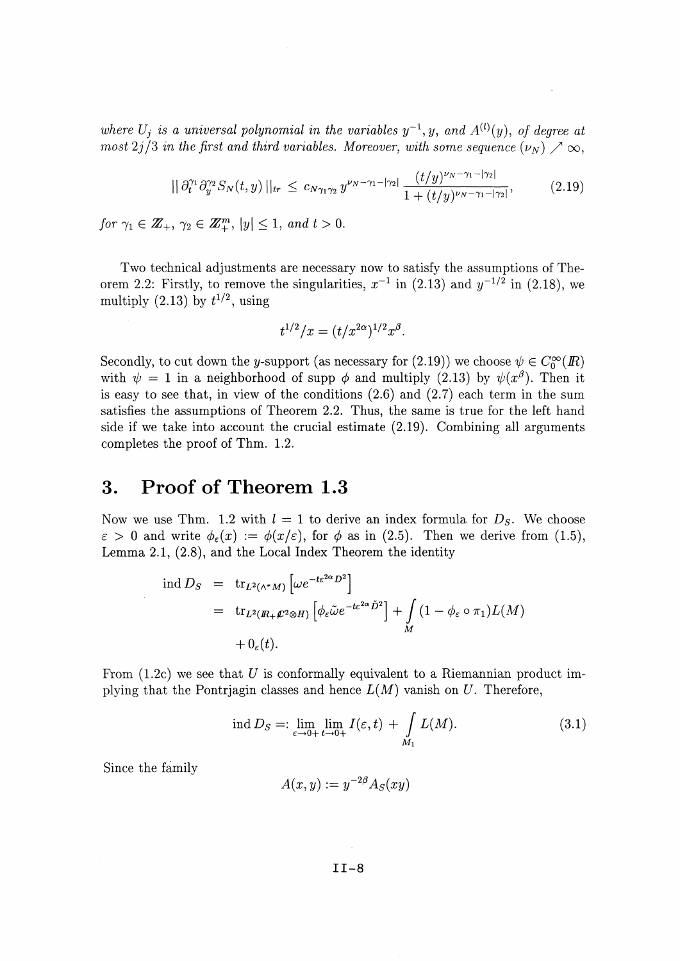*where*  $U_j$  *is a universal polynomial in the variables*  $y^{-1}$ ,  $y$ , and  $A^{(l)}(y)$ , of degree at most  $2j/3$  in the first and third variables. Moreover, with some sequence  $(\nu_N) \nearrow \infty$ .

$$
||\partial_t^{\gamma_1} \partial_y^{\gamma_2} S_N(t, y)||_{tr} \leq c_{N\gamma_1 \gamma_2} y^{\nu_N - \gamma_1 - |\gamma_2|} \frac{(t/y)^{\nu_N - \gamma_1 - |\gamma_2|}}{1 + (t/y)^{\nu_N - \gamma_1 - |\gamma_2|}},
$$
(2.19)

 $\mathcal{L}$ 

*for*  $\gamma_1 \in \mathbb{Z}_+$ ,  $\gamma_2 \in \mathbb{Z}_+^m$ ,  $|y| \leq 1$ , and  $t > 0$ .

Two technical adjustments are necessary now to satisfy the assumptions of Theorem 2.2: Firstly, to remove the singularities,  $x^{-1}$  in (2.13) and  $y^{-1/2}$  in (2.18), we multiply  $(2.13)$  by  $t^{1/2}$ , using

$$
t^{1/2}/x = (t/x^{2\alpha})^{1/2}x^{\beta}.
$$

Secondly, to cut down the *y*-support (as necessary for (2.19)) we choose  $\psi \in C^{\infty}_0(\mathbb{R})$ with  $\psi = 1$  in a neighborhood of supp  $\phi$  and multiply (2.13) by  $\psi(x^{\beta})$ . Then it is easy to see that, in view of the conditions  $(2.6)$  and  $(2.7)$  each term in the sum satisfies the assumptions of Theorem 2.2. Thus, the same is true for the left hand side if we take into account the crucial estimate (2.19). Combining all arguments completes the proof of Thm. 1.2.

### **3. Proof of Theorem 1.3**

Now we use Thm. 1.2 with  $l = 1$  to derive an index formula for  $D<sub>S</sub>$ . We choose  $\varepsilon > 0$  and write  $\phi_{\varepsilon}(x) := \phi(x/\varepsilon)$ , for  $\phi$  as in (2.5). Then we derive from (1.5), Lemma 2.1, (2.8), and the Local Index Theorem the identity

$$
\begin{array}{rcl}\n\operatorname{ind} D_S &=& \operatorname{tr}_{L^2(\wedge^* M)} \left[ \omega e^{-t \varepsilon^{2\alpha} D^2} \right] \\
&=& \operatorname{tr}_{L^2(R_+ \varnothing^2 \otimes H)} \left[ \phi_{\varepsilon} \tilde{\omega} e^{-t \varepsilon^{2\alpha} \tilde{D}^2} \right] + \int_M \left( 1 - \phi_{\varepsilon} \circ \pi_1 \right) L(M) \\
& & \quad + 0_{\varepsilon}(t).\n\end{array}
$$

From (1.2c) we see that *U* is conformally equivalent to a Riemannian product implying that the Pontrjagin classes and hence L(M) vanish on *U.* Therefore,

$$
\text{ind } D_S =: \lim_{\varepsilon \to 0+} \lim_{t \to 0+} I(\varepsilon, t) + \int_{M_1} L(M). \tag{3.1}
$$

Since the family

 $A(x,y) := y^{-2\beta} A_S(xy)$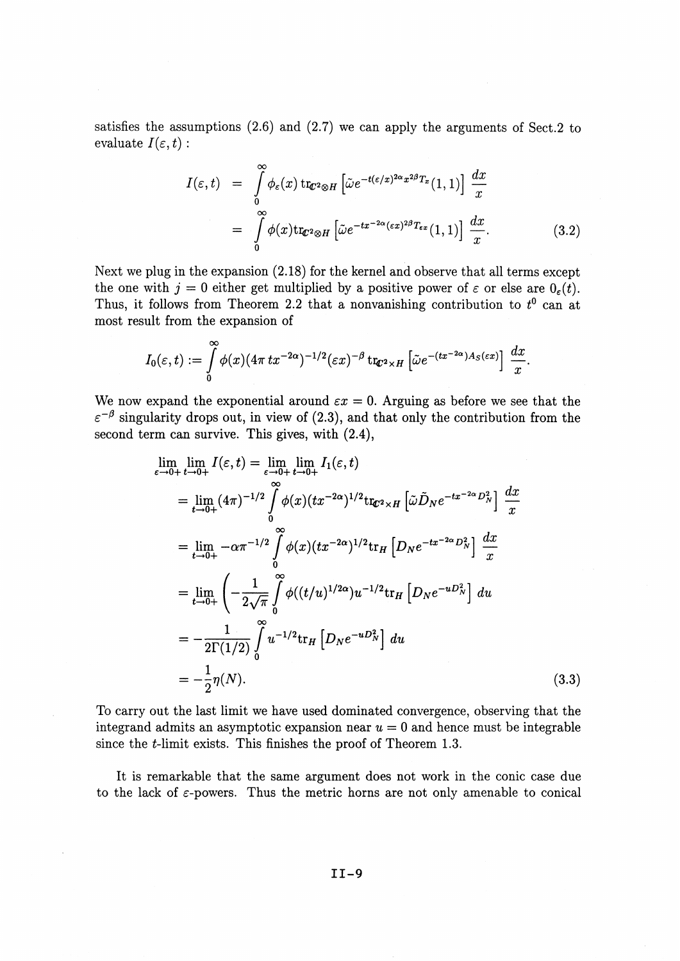satisfies the assumptions (2.6) and (2.7) we can apply the arguments of Sect.2 to evaluate  $I(\varepsilon, t)$  :

$$
I(\varepsilon, t) = \int_{0}^{\infty} \phi_{\varepsilon}(x) \operatorname{tr}_{\mathbb{C}^2 \otimes H} \left[ \tilde{\omega} e^{-t(\varepsilon/x)^{2\alpha} x^{2\beta} T_x}(1, 1) \right] \frac{dx}{x}
$$
  

$$
= \int_{0}^{\infty} \phi(x) \operatorname{tr}_{\mathbb{C}^2 \otimes H} \left[ \tilde{\omega} e^{-tx^{-2\alpha} (\varepsilon x)^{2\beta} T_{\varepsilon x}}(1, 1) \right] \frac{dx}{x}.
$$
 (3.2)

Next we plug in the expansion (2.18) for the kernel and observe that all terms except the one with  $j = 0$  either get multiplied by a positive power of  $\varepsilon$  or else are  $0_{\varepsilon}(t)$ . Thus, it follows from Theorem 2.2 that a nonvanishing contribution to  $t^0$  can at most result from the expansion of

$$
I_0(\varepsilon,t):=\int\limits_0^\infty \phi(x)(4\pi\,tx^{-2\alpha})^{-1/2}(\varepsilon x)^{-\beta}\,\mathrm{tr}_{\mathbb{C}^2\times H}\left[\tilde\omega e^{-(tx^{-2\alpha})A_S(\varepsilon x)}\right]\,\frac{dx}{x}.
$$

We now expand the exponential around  $\varepsilon x = 0$ . Arguing as before we see that the  $\varepsilon^{-\beta}$  singularity drops out, in view of (2.3), and that only the contribution from the second term can survive. This gives, with (2.4),

$$
\lim_{\varepsilon \to 0+} \lim_{t \to 0+} I(\varepsilon, t) = \lim_{\varepsilon \to 0+} \lim_{t \to 0+} I_1(\varepsilon, t)
$$
\n
$$
= \lim_{t \to 0+} (4\pi)^{-1/2} \int_{0}^{\infty} \phi(x) (tx^{-2\alpha})^{1/2} \text{tr}_{\mathcal{C}^2 \times H} \left[ \tilde{\omega} \tilde{D}_N e^{-tx^{-2\alpha} D_N^2} \right] \frac{dx}{x}
$$
\n
$$
= \lim_{t \to 0+} -\alpha \pi^{-1/2} \int_{0}^{\infty} \phi(x) (tx^{-2\alpha})^{1/2} \text{tr}_{H} \left[ D_N e^{-tx^{-2\alpha} D_N^2} \right] \frac{dx}{x}
$$
\n
$$
= \lim_{t \to 0+} \left( -\frac{1}{2\sqrt{\pi}} \int_{0}^{\infty} \phi((t/u)^{1/2\alpha}) u^{-1/2} \text{tr}_{H} \left[ D_N e^{-u D_N^2} \right] du \right)
$$
\n
$$
= -\frac{1}{2\Gamma(1/2)} \int_{0}^{\infty} u^{-1/2} \text{tr}_{H} \left[ D_N e^{-u D_N^2} \right] du
$$
\n
$$
= -\frac{1}{2} \eta(N).
$$
\n(3.3)

To carry out the last limit we have used dominated convergence, observing that the integrand admits an asymptotic expansion near  $u = 0$  and hence must be integrable since the  $t$ -limit exists. This finishes the proof of Theorem 1.3.

It is remarkable that the same argument does not work in the conic case due to the lack of  $\varepsilon$ -powers. Thus the metric horns are not only amenable to conical